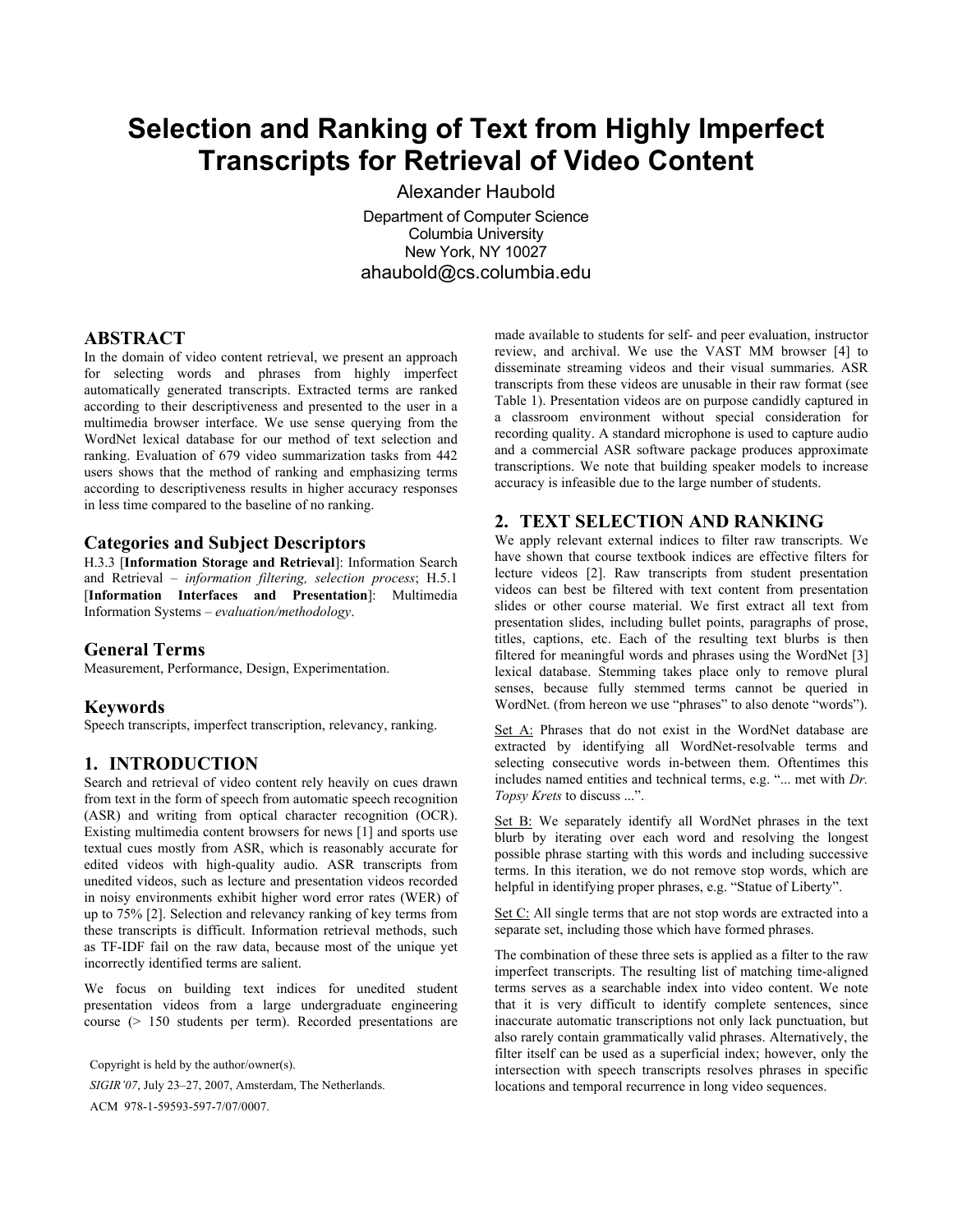# **Selection and Ranking of Text from Highly Imperfect Transcripts for Retrieval of Video Content**

Alexander Haubold

Department of Computer Science Columbia University New York, NY 10027 ahaubold@cs.columbia.edu

# **ABSTRACT**

In the domain of video content retrieval, we present an approach for selecting words and phrases from highly imperfect automatically generated transcripts. Extracted terms are ranked according to their descriptiveness and presented to the user in a multimedia browser interface. We use sense querying from the WordNet lexical database for our method of text selection and ranking. Evaluation of 679 video summarization tasks from 442 users shows that the method of ranking and emphasizing terms according to descriptiveness results in higher accuracy responses in less time compared to the baseline of no ranking.

#### **Categories and Subject Descriptors**

H.3.3 [**Information Storage and Retrieval**]: Information Search and Retrieval – *information filtering, selection process*; H.5.1 [**Information Interfaces and Presentation**]: Multimedia Information Systems – *evaluation/methodology*.

#### **General Terms**

Measurement, Performance, Design, Experimentation.

#### **Keywords**

Speech transcripts, imperfect transcription, relevancy, ranking.

#### **1. INTRODUCTION**

Search and retrieval of video content rely heavily on cues drawn from text in the form of speech from automatic speech recognition (ASR) and writing from optical character recognition (OCR). Existing multimedia content browsers for news [1] and sports use textual cues mostly from ASR, which is reasonably accurate for edited videos with high-quality audio. ASR transcripts from unedited videos, such as lecture and presentation videos recorded in noisy environments exhibit higher word error rates (WER) of up to 75% [2]. Selection and relevancy ranking of key terms from these transcripts is difficult. Information retrieval methods, such as TF-IDF fail on the raw data, because most of the unique yet incorrectly identified terms are salient.

We focus on building text indices for unedited student presentation videos from a large undergraduate engineering course (> 150 students per term). Recorded presentations are

Copyright is held by the author/owner(s). *SIGIR'07*, July 23–27, 2007, Amsterdam, The Netherlands. ACM 978-1-59593-597-7/07/0007.

made available to students for self- and peer evaluation, instructor review, and archival. We use the VAST MM browser [4] to disseminate streaming videos and their visual summaries. ASR transcripts from these videos are unusable in their raw format (see Table 1). Presentation videos are on purpose candidly captured in a classroom environment without special consideration for recording quality. A standard microphone is used to capture audio and a commercial ASR software package produces approximate transcriptions. We note that building speaker models to increase accuracy is infeasible due to the large number of students.

## **2. TEXT SELECTION AND RANKING**

We apply relevant external indices to filter raw transcripts. We have shown that course textbook indices are effective filters for lecture videos [2]. Raw transcripts from student presentation videos can best be filtered with text content from presentation slides or other course material. We first extract all text from presentation slides, including bullet points, paragraphs of prose, titles, captions, etc. Each of the resulting text blurbs is then filtered for meaningful words and phrases using the WordNet [3] lexical database. Stemming takes place only to remove plural senses, because fully stemmed terms cannot be queried in WordNet. (from hereon we use "phrases" to also denote "words").

Set A: Phrases that do not exist in the WordNet database are extracted by identifying all WordNet-resolvable terms and selecting consecutive words in-between them. Oftentimes this includes named entities and technical terms, e.g. "... met with *Dr. Topsy Krets* to discuss ...".

Set B: We separately identify all WordNet phrases in the text blurb by iterating over each word and resolving the longest possible phrase starting with this words and including successive terms. In this iteration, we do not remove stop words, which are helpful in identifying proper phrases, e.g. "Statue of Liberty".

Set C: All single terms that are not stop words are extracted into a separate set, including those which have formed phrases.

The combination of these three sets is applied as a filter to the raw imperfect transcripts. The resulting list of matching time-aligned terms serves as a searchable index into video content. We note that it is very difficult to identify complete sentences, since inaccurate automatic transcriptions not only lack punctuation, but also rarely contain grammatically valid phrases. Alternatively, the filter itself can be used as a superficial index; however, only the intersection with speech transcripts resolves phrases in specific locations and temporal recurrence in long video sequences.